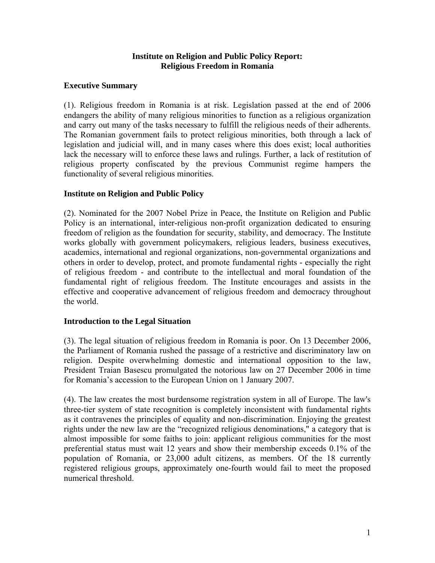### **Institute on Religion and Public Policy Report: Religious Freedom in Romania**

## **Executive Summary**

(1). Religious freedom in Romania is at risk. Legislation passed at the end of 2006 endangers the ability of many religious minorities to function as a religious organization and carry out many of the tasks necessary to fulfill the religious needs of their adherents. The Romanian government fails to protect religious minorities, both through a lack of legislation and judicial will, and in many cases where this does exist; local authorities lack the necessary will to enforce these laws and rulings. Further, a lack of restitution of religious property confiscated by the previous Communist regime hampers the functionality of several religious minorities.

### **Institute on Religion and Public Policy**

(2). Nominated for the 2007 Nobel Prize in Peace, the Institute on Religion and Public Policy is an international, inter-religious non-profit organization dedicated to ensuring freedom of religion as the foundation for security, stability, and democracy. The Institute works globally with government policymakers, religious leaders, business executives, academics, international and regional organizations, non-governmental organizations and others in order to develop, protect, and promote fundamental rights - especially the right of religious freedom - and contribute to the intellectual and moral foundation of the fundamental right of religious freedom. The Institute encourages and assists in the effective and cooperative advancement of religious freedom and democracy throughout the world.

#### **Introduction to the Legal Situation**

(3). The legal situation of religious freedom in Romania is poor. On 13 December 2006, the Parliament of Romania rushed the passage of a restrictive and discriminatory law on religion. Despite overwhelming domestic and international opposition to the law, President Traian Basescu promulgated the notorious law on 27 December 2006 in time for Romania's accession to the European Union on 1 January 2007.

(4). The law creates the most burdensome registration system in all of Europe. The law's three-tier system of state recognition is completely inconsistent with fundamental rights as it contravenes the principles of equality and non-discrimination. Enjoying the greatest rights under the new law are the "recognized religious denominations," a category that is almost impossible for some faiths to join: applicant religious communities for the most preferential status must wait 12 years and show their membership exceeds 0.1% of the population of Romania, or 23,000 adult citizens, as members. Of the 18 currently registered religious groups, approximately one-fourth would fail to meet the proposed numerical threshold.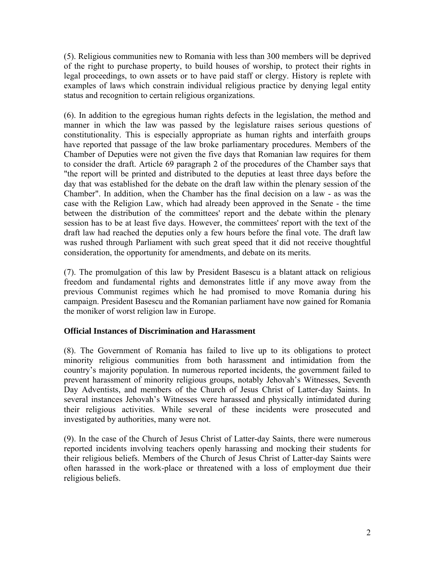(5). Religious communities new to Romania with less than 300 members will be deprived of the right to purchase property, to build houses of worship, to protect their rights in legal proceedings, to own assets or to have paid staff or clergy. History is replete with examples of laws which constrain individual religious practice by denying legal entity status and recognition to certain religious organizations.

(6). In addition to the egregious human rights defects in the legislation, the method and manner in which the law was passed by the legislature raises serious questions of constitutionality. This is especially appropriate as human rights and interfaith groups have reported that passage of the law broke parliamentary procedures. Members of the Chamber of Deputies were not given the five days that Romanian law requires for them to consider the draft. Article 69 paragraph 2 of the procedures of the Chamber says that "the report will be printed and distributed to the deputies at least three days before the day that was established for the debate on the draft law within the plenary session of the Chamber". In addition, when the Chamber has the final decision on a law - as was the case with the Religion Law, which had already been approved in the Senate - the time between the distribution of the committees' report and the debate within the plenary session has to be at least five days. However, the committees' report with the text of the draft law had reached the deputies only a few hours before the final vote. The draft law was rushed through Parliament with such great speed that it did not receive thoughtful consideration, the opportunity for amendments, and debate on its merits.

(7). The promulgation of this law by President Basescu is a blatant attack on religious freedom and fundamental rights and demonstrates little if any move away from the previous Communist regimes which he had promised to move Romania during his campaign. President Basescu and the Romanian parliament have now gained for Romania the moniker of worst religion law in Europe.

# **Official Instances of Discrimination and Harassment**

(8). The Government of Romania has failed to live up to its obligations to protect minority religious communities from both harassment and intimidation from the country's majority population. In numerous reported incidents, the government failed to prevent harassment of minority religious groups, notably Jehovah's Witnesses, Seventh Day Adventists, and members of the Church of Jesus Christ of Latter-day Saints. In several instances Jehovah's Witnesses were harassed and physically intimidated during their religious activities. While several of these incidents were prosecuted and investigated by authorities, many were not.

(9). In the case of the Church of Jesus Christ of Latter-day Saints, there were numerous reported incidents involving teachers openly harassing and mocking their students for their religious beliefs. Members of the Church of Jesus Christ of Latter-day Saints were often harassed in the work-place or threatened with a loss of employment due their religious beliefs.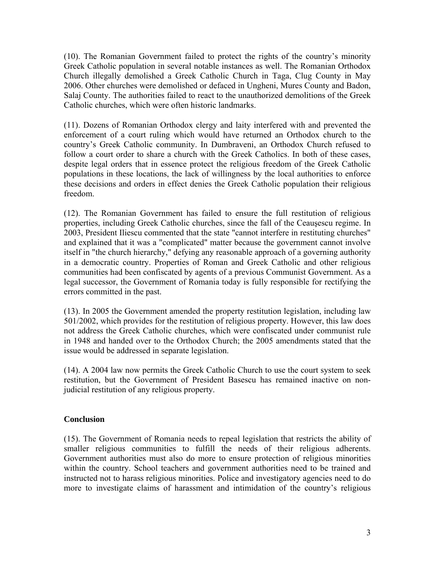(10). The Romanian Government failed to protect the rights of the country's minority Greek Catholic population in several notable instances as well. The Romanian Orthodox Church illegally demolished a Greek Catholic Church in Taga, Clug County in May 2006. Other churches were demolished or defaced in Ungheni, Mures County and Badon, Salaj County. The authorities failed to react to the unauthorized demolitions of the Greek Catholic churches, which were often historic landmarks.

(11). Dozens of Romanian Orthodox clergy and laity interfered with and prevented the enforcement of a court ruling which would have returned an Orthodox church to the country's Greek Catholic community. In Dumbraveni, an Orthodox Church refused to follow a court order to share a church with the Greek Catholics. In both of these cases, despite legal orders that in essence protect the religious freedom of the Greek Catholic populations in these locations, the lack of willingness by the local authorities to enforce these decisions and orders in effect denies the Greek Catholic population their religious freedom.

(12). The Romanian Government has failed to ensure the full restitution of religious properties, including Greek Catholic churches, since the fall of the Ceauşescu regime. In 2003, President Iliescu commented that the state "cannot interfere in restituting churches" and explained that it was a "complicated" matter because the government cannot involve itself in "the church hierarchy," defying any reasonable approach of a governing authority in a democratic country. Properties of Roman and Greek Catholic and other religious communities had been confiscated by agents of a previous Communist Government. As a legal successor, the Government of Romania today is fully responsible for rectifying the errors committed in the past.

(13). In 2005 the Government amended the property restitution legislation, including law 501/2002, which provides for the restitution of religious property. However, this law does not address the Greek Catholic churches, which were confiscated under communist rule in 1948 and handed over to the Orthodox Church; the 2005 amendments stated that the issue would be addressed in separate legislation.

(14). A 2004 law now permits the Greek Catholic Church to use the court system to seek restitution, but the Government of President Basescu has remained inactive on nonjudicial restitution of any religious property.

# **Conclusion**

(15). The Government of Romania needs to repeal legislation that restricts the ability of smaller religious communities to fulfill the needs of their religious adherents. Government authorities must also do more to ensure protection of religious minorities within the country. School teachers and government authorities need to be trained and instructed not to harass religious minorities. Police and investigatory agencies need to do more to investigate claims of harassment and intimidation of the country's religious